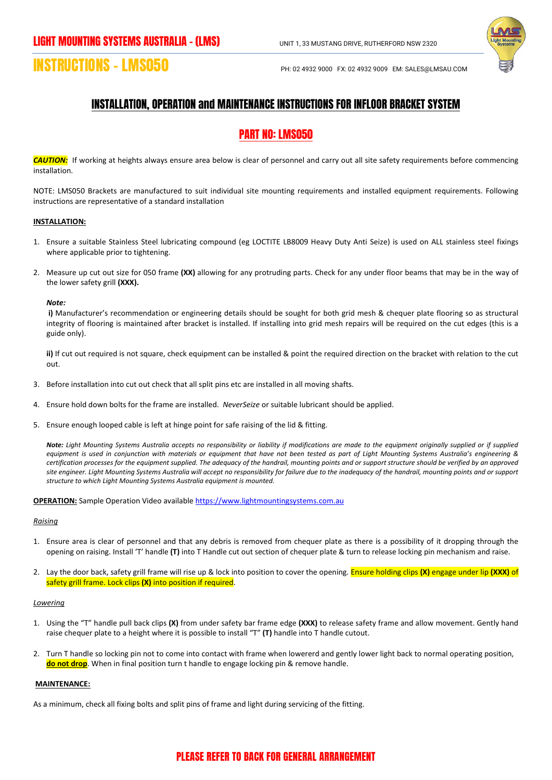

# **INSTRUCTIONS – LMS050** PH: 02 4932 9000 FX: 02 4932 9009 EM: SALES@LMSAU.COM

## INSTALLATION, OPERATION and MAINTENANCE INSTRUCTIONS FOR INFLOOR BRACKET SYSTEM

# PART NO: LMS050

*CAUTION:*If working at heights always ensure area below is clear of personnel and carry out all site safety requirements before commencing installation.

NOTE: LMS050 Brackets are manufactured to suit individual site mounting requirements and installed equipment requirements. Following instructions are representative of a standard installation

#### **INSTALLATION:**

- 1. Ensure a suitable Stainless Steel lubricating compound (eg LOCTITE LB8009 Heavy Duty Anti Seize) is used on ALL stainless steel fixings where applicable prior to tightening.
- 2. Measure up cut out size for 050 frame **(XX)** allowing for any protruding parts. Check for any under floor beams that may be in the way of the lower safety grill **(XXX).**

#### *Note:*

**i)** Manufacturer's recommendation or engineering details should be sought for both grid mesh & chequer plate flooring so as structural integrity of flooring is maintained after bracket is installed. If installing into grid mesh repairs will be required on the cut edges (this is a guide only).

**ii)** If cut out required is not square, check equipment can be installed & point the required direction on the bracket with relation to the cut out.

- 3. Before installation into cut out check that all split pins etc are installed in all moving shafts.
- 4. Ensure hold down bolts for the frame are installed. *NeverSeize* or suitable lubricant should be applied.
- 5. Ensure enough looped cable is left at hinge point for safe raising of the lid & fitting.

*Note: Light Mounting Systems Australia accepts no responsibility or liability if modifications are made to the equipment originally supplied or if supplied equipment is used in conjunction with materials or equipment that have not been tested as part of Light Mounting Systems Australia's engineering & certification processes for the equipment supplied. The adequacy of the handrail, mounting points and or support structure should be verified by an approved site engineer. Light Mounting Systems Australia will accept no responsibility for failure due to the inadequacy of the handrail, mounting points and or support structure to which Light Mounting Systems Australia equipment is mounted.*

**OPERATION:** Sample Operation Video available [https://www.lightmountingsystems.com.au](https://www.lightmountingsystems.com.au/)

#### *Raising*

- 1. Ensure area is clear of personnel and that any debris is removed from chequer plate as there is a possibility of it dropping through the opening on raising. Install 'T' handle **(T)** into T Handle cut out section of chequer plate & turn to release locking pin mechanism and raise.
- 2. Lay the door back, safety grill frame will rise up & lock into position to cover the opening. Ensure holding clips **(X)** engage under lip **(XXX)** of safety grill frame. Lock clips **(X)** into position if required.

#### *Lowering*

- 1. Using the "T" handle pull back clips **(X)** from under safety bar frame edge **(XXX)** to release safety frame and allow movement. Gently hand raise chequer plate to a height where it is possible to install "T" **(T)** handle into T handle cutout.
- 2. Turn T handle so locking pin not to come into contact with frame when lowererd and gently lower light back to normal operating position, **do not drop**. When in final position turn t handle to engage locking pin & remove handle.

#### **MAINTENANCE:**

As a minimum, check all fixing bolts and split pins of frame and light during servicing of the fitting.

### PLEASE REFER TO BACK FOR GENERAL ARRANGEMENT